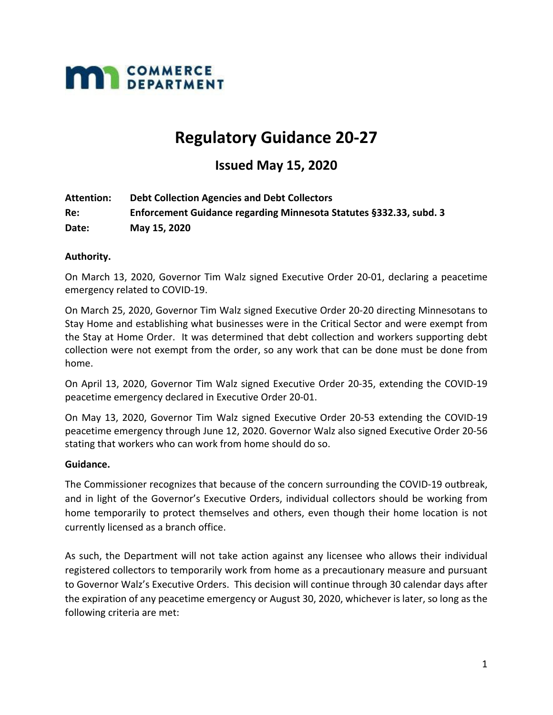

# **Regulatory Guidance 20‐27**

# **Issued May 15, 2020**

| Attention: | <b>Debt Collection Agencies and Debt Collectors</b>                |
|------------|--------------------------------------------------------------------|
| Re:        | Enforcement Guidance regarding Minnesota Statutes §332.33, subd. 3 |
| Date:      | May 15, 2020                                                       |

#### **Authority.**

On March 13, 2020, Governor Tim Walz signed Executive Order 20‐01, declaring a peacetime emergency related to COVID‐19.

On March 25, 2020, Governor Tim Walz signed Executive Order 20‐20 directing Minnesotans to Stay Home and establishing what businesses were in the Critical Sector and were exempt from the Stay at Home Order. It was determined that debt collection and workers supporting debt collection were not exempt from the order, so any work that can be done must be done from home.

On April 13, 2020, Governor Tim Walz signed Executive Order 20‐35, extending the COVID‐19 peacetime emergency declared in Executive Order 20‐01.

On May 13, 2020, Governor Tim Walz signed Executive Order 20‐53 extending the COVID‐19 peacetime emergency through June 12, 2020. Governor Walz also signed Executive Order 20‐56 stating that workers who can work from home should do so.

#### **Guidance.**

The Commissioner recognizes that because of the concern surrounding the COVID‐19 outbreak, and in light of the Governor's Executive Orders, individual collectors should be working from home temporarily to protect themselves and others, even though their home location is not currently licensed as a branch office.

As such, the Department will not take action against any licensee who allows their individual registered collectors to temporarily work from home as a precautionary measure and pursuant to Governor Walz's Executive Orders. This decision will continue through 30 calendar days after the expiration of any peacetime emergency or August 30, 2020, whichever is later, so long as the following criteria are met: